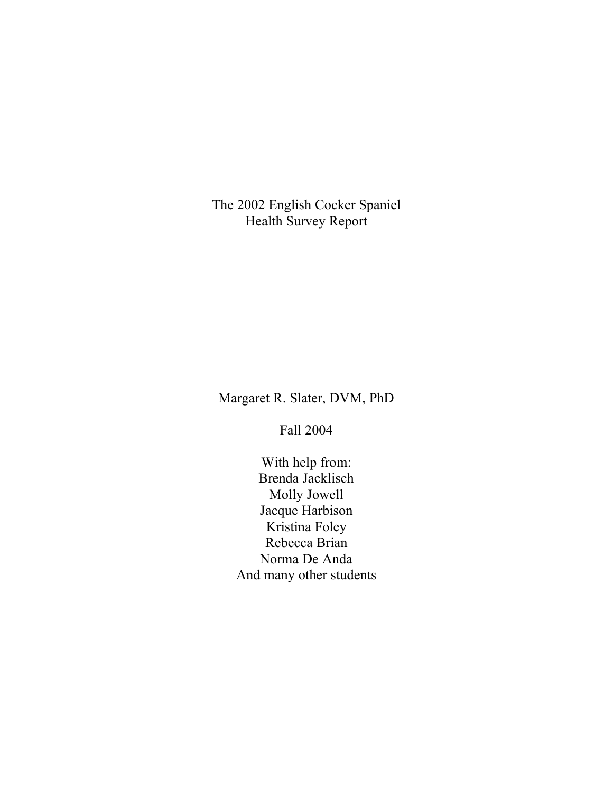The 2002 English Cocker Spaniel Health Survey Report

Margaret R. Slater, DVM, PhD

Fall 2004

With help from: Brenda Jacklisch Molly Jowell Jacque Harbison Kristina Foley Rebecca Brian Norma De Anda And many other students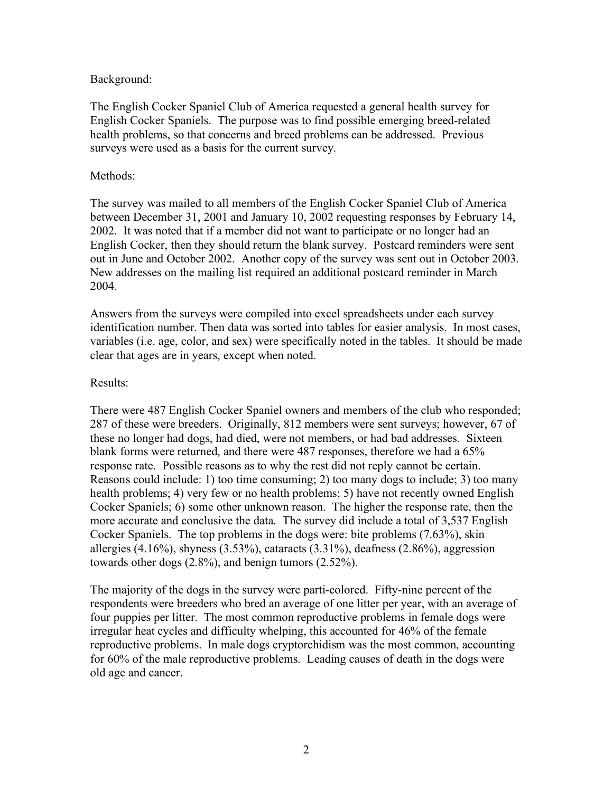### Background:

The English Cocker Spaniel Club of America requested a general health survey for English Cocker Spaniels. The purpose was to find possible emerging breed-related health problems, so that concerns and breed problems can be addressed. Previous surveys were used as a basis for the current survey.

### Methods:

The survey was mailed to all members of the English Cocker Spaniel Club of America between December 31, 2001 and January 10, 2002 requesting responses by February 14, 2002. It was noted that if a member did not want to participate or no longer had an English Cocker, then they should return the blank survey. Postcard reminders were sent out in June and October 2002. Another copy of the survey was sent out in October 2003. New addresses on the mailing list required an additional postcard reminder in March 2004.

Answers from the surveys were compiled into excel spreadsheets under each survey identification number. Then data was sorted into tables for easier analysis. In most cases, variables (i.e. age, color, and sex) were specifically noted in the tables. It should be made clear that ages are in years, except when noted.

### Results:

There were 487 English Cocker Spaniel owners and members of the club who responded; 287 of these were breeders. Originally, 812 members were sent surveys; however, 67 of these no longer had dogs, had died, were not members, or had bad addresses. Sixteen blank forms were returned, and there were 487 responses, therefore we had a 65% response rate. Possible reasons as to why the rest did not reply cannot be certain. Reasons could include: 1) too time consuming; 2) too many dogs to include; 3) too many health problems; 4) very few or no health problems; 5) have not recently owned English Cocker Spaniels; 6) some other unknown reason. The higher the response rate, then the more accurate and conclusive the data. The survey did include a total of 3,537 English Cocker Spaniels. The top problems in the dogs were: bite problems (7.63%), skin allergies (4.16%), shyness (3.53%), cataracts (3.31%), deafness (2.86%), aggression towards other dogs (2.8%), and benign tumors (2.52%).

The majority of the dogs in the survey were parti-colored. Fifty-nine percent of the respondents were breeders who bred an average of one litter per year, with an average of four puppies per litter. The most common reproductive problems in female dogs were irregular heat cycles and difficulty whelping, this accounted for 46% of the female reproductive problems. In male dogs cryptorchidism was the most common, accounting for 60% of the male reproductive problems. Leading causes of death in the dogs were old age and cancer.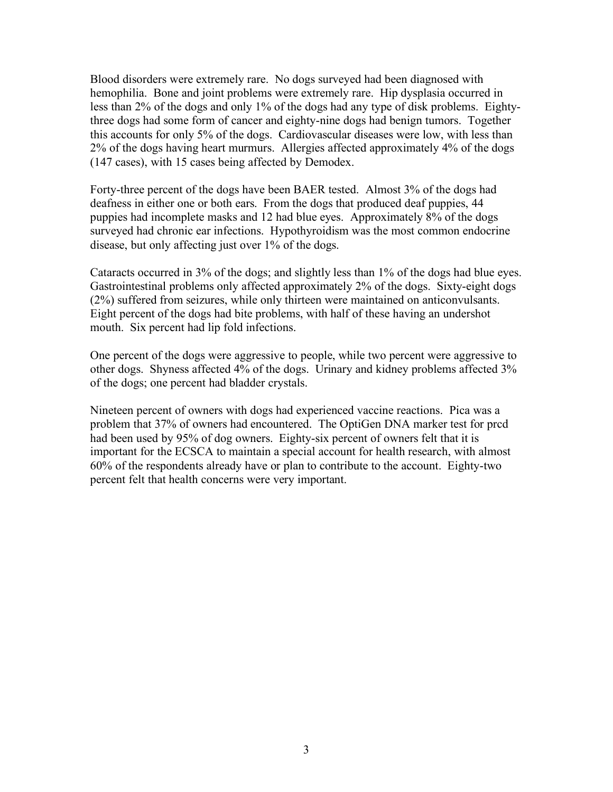Blood disorders were extremely rare. No dogs surveyed had been diagnosed with hemophilia. Bone and joint problems were extremely rare. Hip dysplasia occurred in less than 2% of the dogs and only 1% of the dogs had any type of disk problems. Eightythree dogs had some form of cancer and eighty-nine dogs had benign tumors. Together this accounts for only 5% of the dogs. Cardiovascular diseases were low, with less than 2% of the dogs having heart murmurs. Allergies affected approximately 4% of the dogs (147 cases), with 15 cases being affected by Demodex.

Forty-three percent of the dogs have been BAER tested. Almost 3% of the dogs had deafness in either one or both ears. From the dogs that produced deaf puppies, 44 puppies had incomplete masks and 12 had blue eyes. Approximately 8% of the dogs surveyed had chronic ear infections. Hypothyroidism was the most common endocrine disease, but only affecting just over 1% of the dogs.

Cataracts occurred in 3% of the dogs; and slightly less than 1% of the dogs had blue eyes. Gastrointestinal problems only affected approximately 2% of the dogs. Sixty-eight dogs (2%) suffered from seizures, while only thirteen were maintained on anticonvulsants. Eight percent of the dogs had bite problems, with half of these having an undershot mouth. Six percent had lip fold infections.

One percent of the dogs were aggressive to people, while two percent were aggressive to other dogs. Shyness affected 4% of the dogs. Urinary and kidney problems affected 3% of the dogs; one percent had bladder crystals.

Nineteen percent of owners with dogs had experienced vaccine reactions. Pica was a problem that 37% of owners had encountered. The OptiGen DNA marker test for prcd had been used by 95% of dog owners. Eighty-six percent of owners felt that it is important for the ECSCA to maintain a special account for health research, with almost 60% of the respondents already have or plan to contribute to the account. Eighty-two percent felt that health concerns were very important.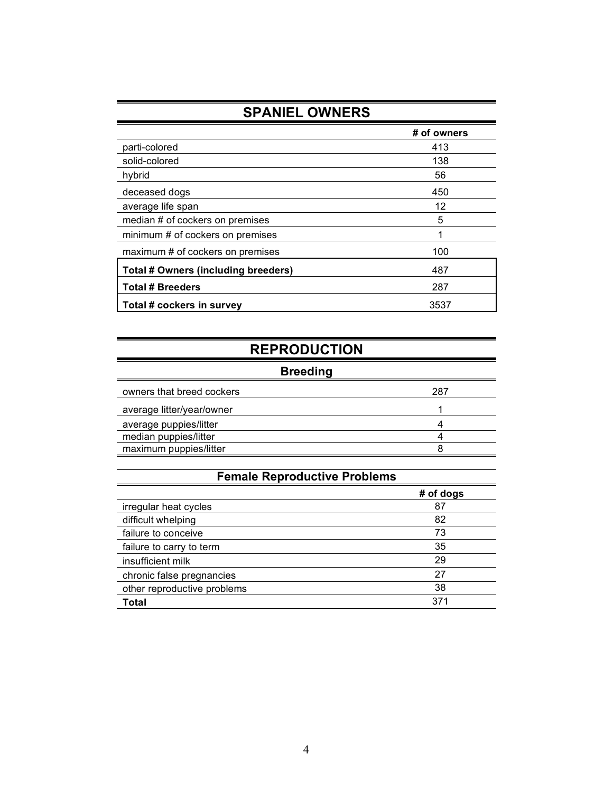| <b>SPANIEL OWNERS</b>                      |             |  |  |
|--------------------------------------------|-------------|--|--|
|                                            | # of owners |  |  |
| parti-colored                              | 413         |  |  |
| solid-colored                              | 138         |  |  |
| hybrid                                     | 56          |  |  |
| deceased dogs                              | 450         |  |  |
| average life span                          | 12          |  |  |
| median # of cockers on premises            | 5           |  |  |
| minimum # of cockers on premises           |             |  |  |
| maximum # of cockers on premises           | 100         |  |  |
| <b>Total # Owners (including breeders)</b> | 487         |  |  |
| <b>Total # Breeders</b>                    | 287         |  |  |
| Total # cockers in survey                  | 3537        |  |  |

# **REPRODUCTION**

| <b>Breeding</b>           |     |
|---------------------------|-----|
| owners that breed cockers | 287 |
| average litter/year/owner |     |
| average puppies/litter    |     |
| median puppies/litter     |     |
| maximum puppies/litter    |     |
|                           |     |

# **Female Reproductive Problems**

|                             | $#$ of dogs |
|-----------------------------|-------------|
| irregular heat cycles       | 87          |
| difficult whelping          | 82          |
| failure to conceive         | 73          |
| failure to carry to term    | 35          |
| insufficient milk           | 29          |
| chronic false pregnancies   | 27          |
| other reproductive problems | 38          |
| Total                       | 371         |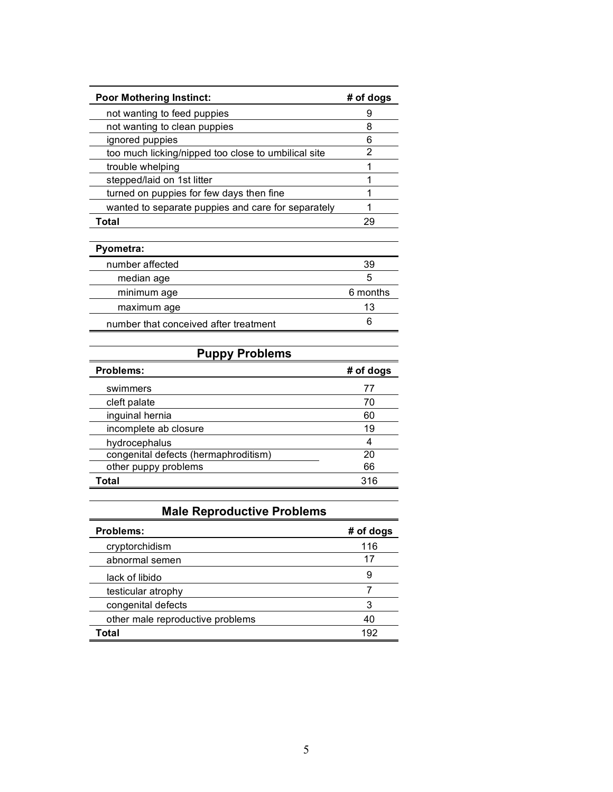| <b>Poor Mothering Instinct:</b>                     | # of dogs |
|-----------------------------------------------------|-----------|
| not wanting to feed puppies                         | 9         |
| not wanting to clean puppies                        | 8         |
| ignored puppies                                     | 6         |
| too much licking/nipped too close to umbilical site | 2         |
| trouble whelping                                    |           |
| stepped/laid on 1st litter                          | 1         |
| turned on puppies for few days then fine            | 1         |
| wanted to separate puppies and care for separately  | 1         |
| Total                                               | 29        |
|                                                     |           |
| Pyometra:                                           |           |
| number affected                                     | 39        |
| median age                                          | 5         |
| minimum age                                         | 6 months  |
| maximum age                                         | 13        |
| number that conceived after treatment               | 6         |

## **Puppy Problems**

| <b>Problems:</b>                     | # of dogs |
|--------------------------------------|-----------|
| swimmers                             | 77        |
| cleft palate                         |           |
| inguinal hernia                      | 60        |
| incomplete ab closure                | 19        |
| hydrocephalus                        |           |
| congenital defects (hermaphroditism) | 20        |
| other puppy problems                 | 66        |
| Total                                | 316       |

## **Male Reproductive Problems**

| <b>Problems:</b>                 | # of dogs |
|----------------------------------|-----------|
| cryptorchidism                   | 116       |
| abnormal semen                   | 17        |
| lack of libido                   | 9         |
| testicular atrophy               |           |
| congenital defects               |           |
| other male reproductive problems |           |
| Total                            | 192       |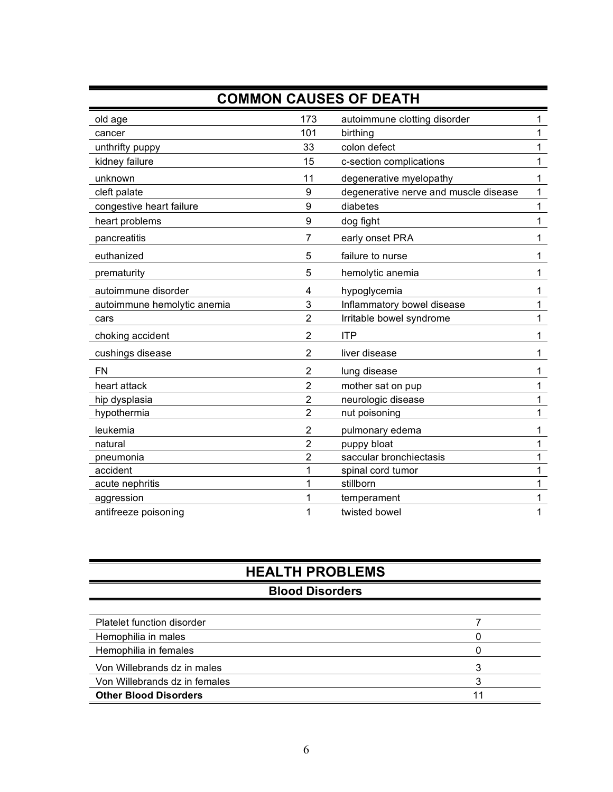| <b>COMMON CAUSES OF DEATH</b> |                |                                       |              |  |  |
|-------------------------------|----------------|---------------------------------------|--------------|--|--|
| old age                       | 173            | autoimmune clotting disorder          | 1            |  |  |
| cancer                        | 101            | birthing                              | 1            |  |  |
| unthrifty puppy               | 33             | colon defect                          | 1            |  |  |
| kidney failure                | 15             | c-section complications               | 1            |  |  |
| unknown                       | 11             | degenerative myelopathy               | 1            |  |  |
| cleft palate                  | 9              | degenerative nerve and muscle disease | $\mathbf{1}$ |  |  |
| congestive heart failure      | 9              | diabetes                              | 1            |  |  |
| heart problems                | 9              | dog fight                             | 1            |  |  |
| pancreatitis                  | 7              | early onset PRA                       | 1            |  |  |
| euthanized                    | 5              | failure to nurse                      | 1            |  |  |
| prematurity                   | 5              | hemolytic anemia                      | 1            |  |  |
| autoimmune disorder           | 4              | hypoglycemia                          | 1            |  |  |
| autoimmune hemolytic anemia   | 3              | Inflammatory bowel disease            | 1            |  |  |
| cars                          | $\overline{2}$ | Irritable bowel syndrome              | 1            |  |  |
| choking accident              | $\overline{2}$ | <b>ITP</b>                            | 1            |  |  |
| cushings disease              | $\overline{2}$ | liver disease                         | 1            |  |  |
| <b>FN</b>                     | $\overline{2}$ | lung disease                          | 1            |  |  |
| heart attack                  | $\overline{2}$ | mother sat on pup                     | 1            |  |  |
| hip dysplasia                 | $\overline{2}$ | neurologic disease                    | 1            |  |  |
| hypothermia                   | $\overline{2}$ | nut poisoning                         | 1            |  |  |
| leukemia                      | $\overline{2}$ | pulmonary edema                       | 1            |  |  |
| natural                       | $\overline{2}$ | puppy bloat                           | 1            |  |  |
| pneumonia                     | $\overline{2}$ | saccular bronchiectasis               | 1            |  |  |
| accident                      | 1              | spinal cord tumor                     | 1            |  |  |
| acute nephritis               | 1              | stillborn                             | 1            |  |  |
| aggression                    | 1              | temperament                           | 1            |  |  |
| antifreeze poisoning          | 1              | twisted bowel                         | 1            |  |  |

# **HEALTH PROBLEMS**

## **Blood Disorders**

| Platelet function disorder    |    |  |
|-------------------------------|----|--|
| Hemophilia in males           |    |  |
| Hemophilia in females         |    |  |
| Von Willebrands dz in males   |    |  |
| Von Willebrands dz in females |    |  |
| <b>Other Blood Disorders</b>  | 11 |  |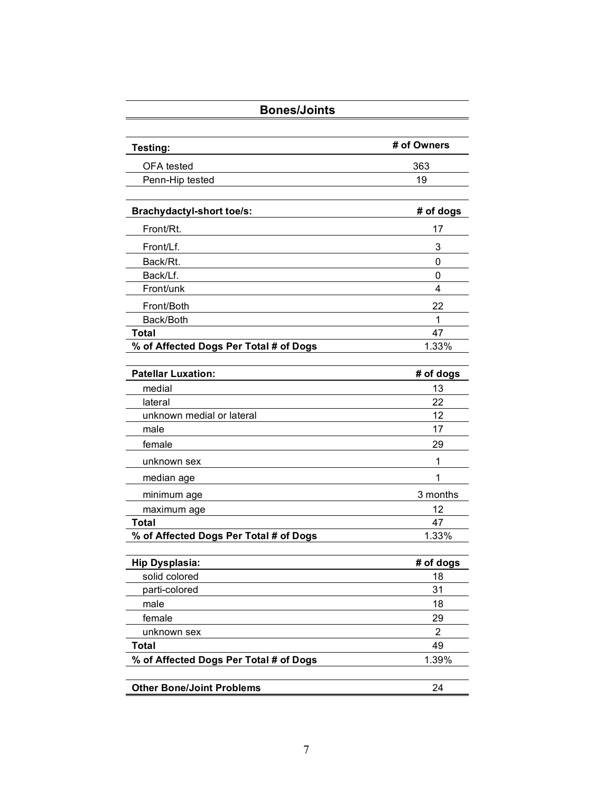| <b>Bones/Joints</b>                    |                |  |
|----------------------------------------|----------------|--|
|                                        |                |  |
| <b>Testing:</b>                        | # of Owners    |  |
| <b>OFA</b> tested                      | 363            |  |
| Penn-Hip tested                        | 19             |  |
|                                        |                |  |
| Brachydactyl-short toe/s:              | # of dogs      |  |
| Front/Rt.                              | 17             |  |
| Front/Lf.                              | 3              |  |
| Back/Rt.                               | 0              |  |
| Back/Lf.                               | 0              |  |
| Front/unk                              | 4              |  |
| Front/Both                             | 22             |  |
| Back/Both                              | 1              |  |
| <b>Total</b>                           | 47             |  |
| % of Affected Dogs Per Total # of Dogs | 1.33%          |  |
|                                        |                |  |
| <b>Patellar Luxation:</b>              | # of dogs      |  |
| medial                                 | 13             |  |
| lateral                                | 22             |  |
| unknown medial or lateral              | 12             |  |
| male                                   | 17             |  |
| female                                 | 29             |  |
| unknown sex                            | 1              |  |
| median age                             | 1              |  |
| minimum age                            | 3 months       |  |
| maximum age                            | 12             |  |
| <b>Total</b>                           | 47             |  |
| % of Affected Dogs Per Total # of Dogs | 1.33%          |  |
| <b>Hip Dysplasia:</b>                  | # of dogs      |  |
| solid colored                          | 18             |  |
| parti-colored                          | 31             |  |
| male                                   | 18             |  |
| female                                 | 29             |  |
| unknown sex                            | $\overline{2}$ |  |
| <b>Total</b>                           | 49             |  |
| % of Affected Dogs Per Total # of Dogs | 1.39%          |  |
|                                        |                |  |
| <b>Other Bone/Joint Problems</b>       | 24             |  |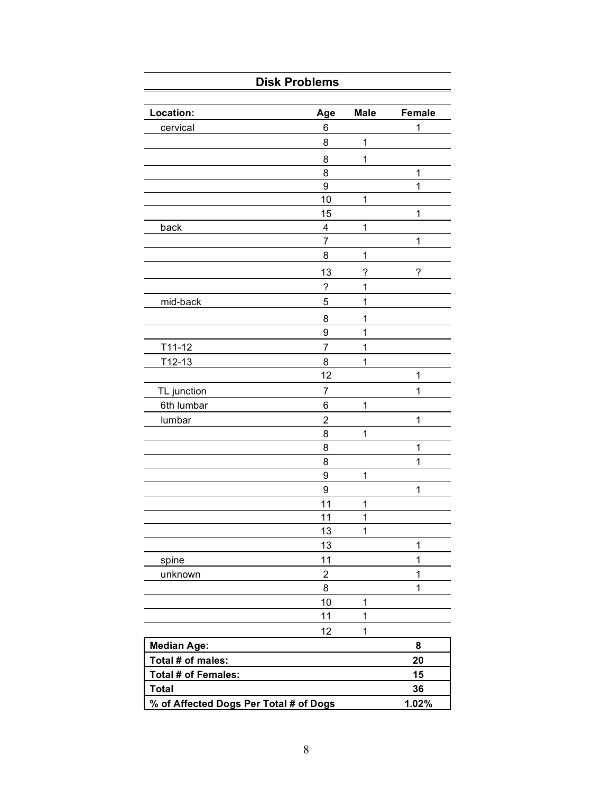| <b>Disk Problems</b>                   |                |              |                |  |
|----------------------------------------|----------------|--------------|----------------|--|
|                                        |                |              |                |  |
| Location:                              | Age            | <b>Male</b>  | <b>Female</b>  |  |
| cervical                               | 6              |              | 1              |  |
|                                        | 8              | $\mathbf 1$  |                |  |
|                                        | 8              | 1            |                |  |
|                                        | 8              |              | 1              |  |
|                                        | 9              |              | $\overline{1}$ |  |
|                                        | 10             | 1            |                |  |
|                                        | 15             |              | 1              |  |
| back                                   | 4              | $\mathbf{1}$ |                |  |
|                                        | 7              |              | 1              |  |
|                                        | 8              | 1            |                |  |
|                                        | 13             | ?            | ?              |  |
|                                        | ?              | 1            |                |  |
| mid-back                               | 5              | 1            |                |  |
|                                        | 8              | 1            |                |  |
|                                        | 9              | 1            |                |  |
| $T11-12$                               | 7              | 1            |                |  |
| $T12-13$                               | 8              | 1            |                |  |
|                                        | 12             |              | 1              |  |
| TL junction                            | 7              |              | 1              |  |
| 6th lumbar                             | 6              | 1            |                |  |
| lumbar                                 | $\overline{2}$ |              | 1              |  |
|                                        | 8              | 1            |                |  |
|                                        | 8              |              | 1              |  |
|                                        | 8              |              | 1              |  |
|                                        | 9              | 1            |                |  |
|                                        | 9              |              | 1              |  |
|                                        | 11             | 1            |                |  |
|                                        | 11             | 1            |                |  |
|                                        | 13             | 1            |                |  |
|                                        | 13             |              | 1              |  |
| spine                                  | 11             |              | $\overline{1}$ |  |
| unknown                                | $\mathbf 2$    |              | 1              |  |
|                                        | 8              |              | 1              |  |
|                                        | 10             | 1            |                |  |
|                                        | 11             | 1            |                |  |
|                                        | 12             | 1            |                |  |
| <b>Median Age:</b>                     |                |              | 8              |  |
| Total # of males:                      |                |              | 20             |  |
| <b>Total # of Females:</b>             |                |              | 15             |  |
| <b>Total</b>                           |                |              | 36             |  |
| % of Affected Dogs Per Total # of Dogs |                |              | 1.02%          |  |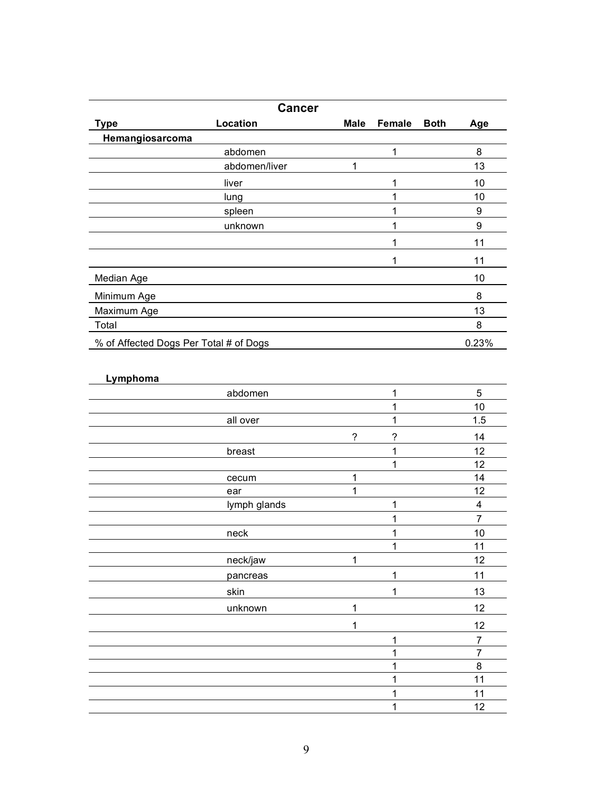| Location<br><b>Male</b><br>Female<br><b>Both</b><br><b>Type</b><br>Age<br>Hemangiosarcoma<br>abdomen<br>$\mathbf 1$<br>8<br>abdomen/liver<br>1<br>13<br>10<br>liver<br>1<br>1<br>10<br>lung<br>$\mathbf{1}$<br>9<br>spleen<br>unknown<br>$\mathbf 1$<br>9<br>11<br>1<br>11<br>1<br>10<br>Median Age<br>Minimum Age<br>8<br>13<br>Maximum Age<br>Total<br>8 | <b>Cancer</b>                          |  |  |  |  |       |
|------------------------------------------------------------------------------------------------------------------------------------------------------------------------------------------------------------------------------------------------------------------------------------------------------------------------------------------------------------|----------------------------------------|--|--|--|--|-------|
|                                                                                                                                                                                                                                                                                                                                                            |                                        |  |  |  |  |       |
|                                                                                                                                                                                                                                                                                                                                                            |                                        |  |  |  |  |       |
|                                                                                                                                                                                                                                                                                                                                                            |                                        |  |  |  |  |       |
|                                                                                                                                                                                                                                                                                                                                                            |                                        |  |  |  |  |       |
|                                                                                                                                                                                                                                                                                                                                                            |                                        |  |  |  |  |       |
|                                                                                                                                                                                                                                                                                                                                                            |                                        |  |  |  |  |       |
|                                                                                                                                                                                                                                                                                                                                                            |                                        |  |  |  |  |       |
|                                                                                                                                                                                                                                                                                                                                                            |                                        |  |  |  |  |       |
|                                                                                                                                                                                                                                                                                                                                                            |                                        |  |  |  |  |       |
|                                                                                                                                                                                                                                                                                                                                                            |                                        |  |  |  |  |       |
|                                                                                                                                                                                                                                                                                                                                                            |                                        |  |  |  |  |       |
|                                                                                                                                                                                                                                                                                                                                                            |                                        |  |  |  |  |       |
|                                                                                                                                                                                                                                                                                                                                                            |                                        |  |  |  |  |       |
|                                                                                                                                                                                                                                                                                                                                                            |                                        |  |  |  |  |       |
|                                                                                                                                                                                                                                                                                                                                                            | % of Affected Dogs Per Total # of Dogs |  |  |  |  | 0.23% |
|                                                                                                                                                                                                                                                                                                                                                            |                                        |  |  |  |  |       |
| Lymphoma                                                                                                                                                                                                                                                                                                                                                   |                                        |  |  |  |  |       |
| 1<br>5<br>abdomen                                                                                                                                                                                                                                                                                                                                          |                                        |  |  |  |  |       |
| 1<br>10                                                                                                                                                                                                                                                                                                                                                    |                                        |  |  |  |  |       |
| $\mathbf{1}$<br>1.5<br>all over                                                                                                                                                                                                                                                                                                                            |                                        |  |  |  |  |       |
| $\boldsymbol{\mathcal{P}}$<br>?<br>14                                                                                                                                                                                                                                                                                                                      |                                        |  |  |  |  |       |
| $\mathbf 1$<br>12<br>breast                                                                                                                                                                                                                                                                                                                                |                                        |  |  |  |  |       |
| 1<br>12                                                                                                                                                                                                                                                                                                                                                    |                                        |  |  |  |  |       |
| 1<br>14<br>cecum                                                                                                                                                                                                                                                                                                                                           |                                        |  |  |  |  |       |
| 1<br>12<br>ear                                                                                                                                                                                                                                                                                                                                             |                                        |  |  |  |  |       |
| lymph glands<br>$\mathbf 1$<br>4                                                                                                                                                                                                                                                                                                                           |                                        |  |  |  |  |       |
| $\overline{7}$<br>1                                                                                                                                                                                                                                                                                                                                        |                                        |  |  |  |  |       |
| 1<br>10<br>neck                                                                                                                                                                                                                                                                                                                                            |                                        |  |  |  |  |       |
| $\mathbf{1}$<br>11<br>12                                                                                                                                                                                                                                                                                                                                   |                                        |  |  |  |  |       |
| neck/jaw<br>1                                                                                                                                                                                                                                                                                                                                              |                                        |  |  |  |  |       |
| $\mathbf{1}$<br>11<br>pancreas                                                                                                                                                                                                                                                                                                                             |                                        |  |  |  |  |       |
| skin<br>$\mathbf{1}$<br>13                                                                                                                                                                                                                                                                                                                                 |                                        |  |  |  |  |       |
| unknown<br>1<br>12                                                                                                                                                                                                                                                                                                                                         |                                        |  |  |  |  |       |
| 1<br>12                                                                                                                                                                                                                                                                                                                                                    |                                        |  |  |  |  |       |
| $\overline{7}$<br>1                                                                                                                                                                                                                                                                                                                                        |                                        |  |  |  |  |       |
| $\overline{7}$<br>$\mathbf{1}$                                                                                                                                                                                                                                                                                                                             |                                        |  |  |  |  |       |
| 8<br>$\mathbf 1$                                                                                                                                                                                                                                                                                                                                           |                                        |  |  |  |  |       |
| 11<br>1<br>11<br>1                                                                                                                                                                                                                                                                                                                                         |                                        |  |  |  |  |       |
| $\mathbf 1$<br>12                                                                                                                                                                                                                                                                                                                                          |                                        |  |  |  |  |       |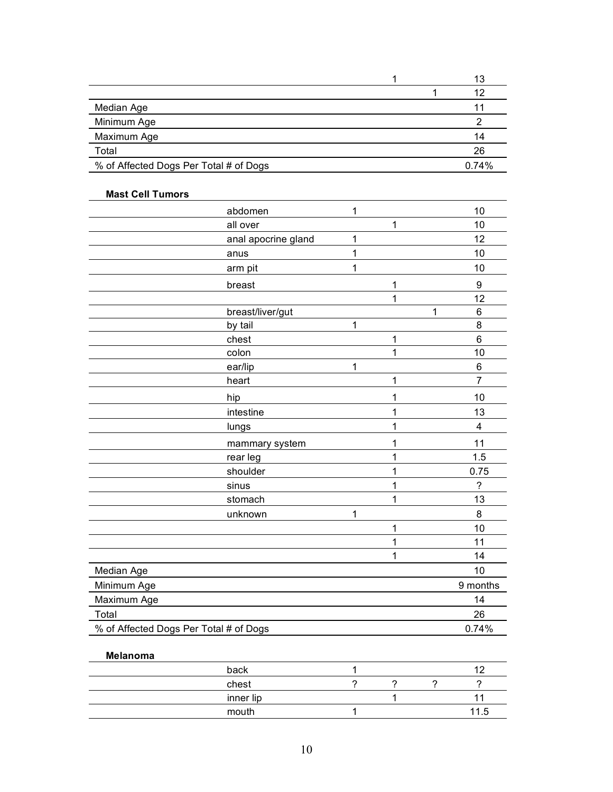|                                        |  | 13    |
|----------------------------------------|--|-------|
|                                        |  | 12    |
| Median Age                             |  | 11    |
| Minimum Age                            |  | 2     |
| Maximum Age                            |  | 14    |
| Total                                  |  | 26    |
| % of Affected Dogs Per Total # of Dogs |  | 0.74% |
|                                        |  |       |

#### **Mast Cell Tumors**

| abdomen                                | $\mathbf 1$ |   |   | 10               |
|----------------------------------------|-------------|---|---|------------------|
| all over                               |             | 1 |   | 10               |
| anal apocrine gland                    | 1           |   |   | 12               |
| anus                                   | 1           |   |   | 10               |
| arm pit                                | 1           |   |   | 10               |
| breast                                 |             | 1 |   | $\boldsymbol{9}$ |
|                                        |             | 1 |   | 12               |
| breast/liver/gut                       |             |   | 1 | 6                |
| by tail                                | 1           |   |   | 8                |
| chest                                  |             | 1 |   | $6\phantom{1}$   |
| colon                                  |             | 1 |   | 10               |
| ear/lip                                | 1           |   |   | $6\phantom{1}$   |
| heart                                  |             | 1 |   | $\overline{7}$   |
| hip                                    |             | 1 |   | 10               |
| intestine                              |             | 1 |   | 13               |
| lungs                                  |             | 1 |   | 4                |
| mammary system                         |             | 1 |   | 11               |
| rear leg                               |             | 1 |   | 1.5              |
| shoulder                               |             | 1 |   | 0.75             |
| sinus                                  |             | 1 |   | 2                |
| stomach                                |             | 1 |   | 13               |
| unknown                                | 1           |   |   | 8                |
|                                        |             | 1 |   | 10               |
|                                        |             | 1 |   | 11               |
|                                        |             | 1 |   | 14               |
| Median Age                             |             |   |   | 10               |
| Minimum Age                            |             |   |   | 9 months         |
| Maximum Age                            |             |   |   | 14               |
| Total                                  |             |   |   | 26               |
| % of Affected Dogs Per Total # of Dogs |             |   |   | 0.74%            |

#### **Melanoma**

| back      |  |      |  |
|-----------|--|------|--|
| chest     |  |      |  |
| inner lip |  |      |  |
| mouth     |  | 11 h |  |
|           |  |      |  |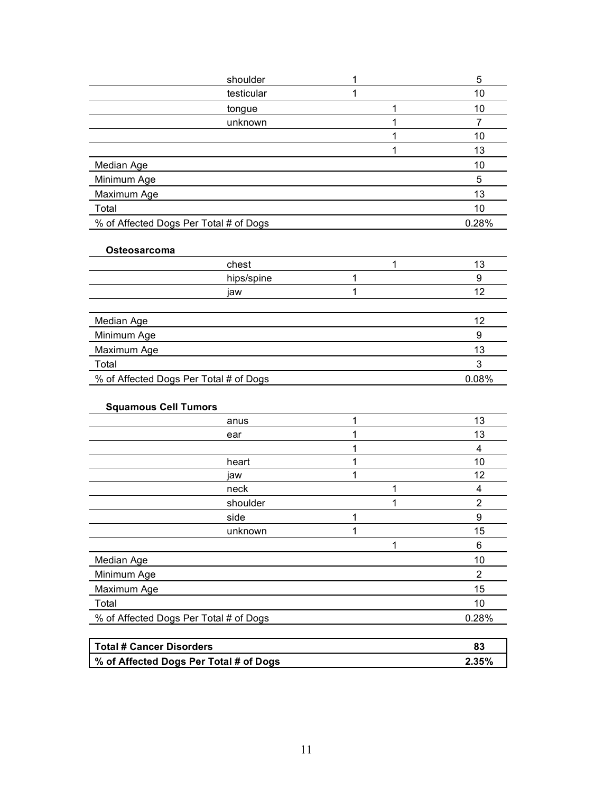|                                        | shoulder   | 5     |
|----------------------------------------|------------|-------|
|                                        | testicular | 10    |
|                                        | tongue     | 10    |
|                                        | unknown    |       |
|                                        |            | 10    |
|                                        |            | 13    |
| Median Age                             |            | 10    |
| Minimum Age                            |            | 5     |
| Maximum Age                            |            | 13    |
| Total                                  |            | 10    |
| % of Affected Dogs Per Total # of Dogs |            | 0.28% |

#### **Osteosarcoma**

| OJITUJU LUMIN                          |            |       |
|----------------------------------------|------------|-------|
|                                        | chest      | 13    |
|                                        | hips/spine | 9     |
|                                        | jaw        | 12    |
|                                        |            |       |
| Median Age                             |            | 12    |
| Minimum Age                            |            | 9     |
| Maximum Age                            |            | 13    |
| Total                                  |            |       |
| % of Affected Dogs Per Total # of Dogs |            | 0.08% |

### **Squamous Cell Tumors**

|                                        | anus     | ٠ | 13             |
|----------------------------------------|----------|---|----------------|
|                                        | ear      |   | 13             |
|                                        |          |   | 4              |
|                                        | heart    |   | 10             |
|                                        | jaw      |   | 12             |
|                                        | neck     |   | 4              |
|                                        | shoulder |   | $\overline{2}$ |
|                                        | side     |   | 9              |
|                                        | unknown  |   | 15             |
|                                        |          |   | 6              |
| Median Age                             |          |   | 10             |
| Minimum Age                            |          |   | $\overline{2}$ |
| Maximum Age                            |          |   | 15             |
| Total                                  |          |   | 10             |
| % of Affected Dogs Per Total # of Dogs |          |   | 0.28%          |
|                                        |          |   |                |

| l Total # Cancer Disorders               | 83    |
|------------------------------------------|-------|
| │ % of Affected Dogs Per Total # of Dogs | 2.35% |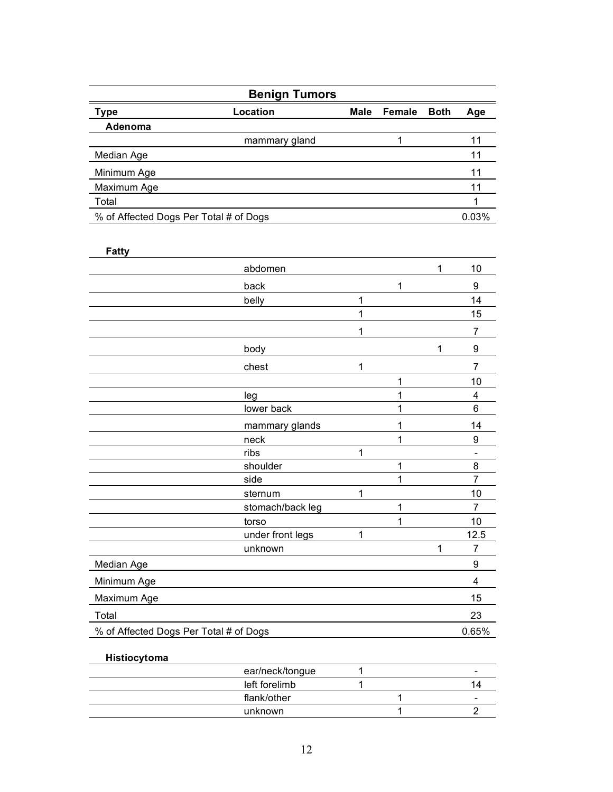| <b>Benign Tumors</b>                   |               |             |        |             |       |
|----------------------------------------|---------------|-------------|--------|-------------|-------|
| <b>Type</b>                            | Location      | <b>Male</b> | Female | <b>Both</b> | Age   |
| Adenoma                                |               |             |        |             |       |
|                                        | mammary gland |             |        |             |       |
| Median Age                             |               |             |        |             | 11    |
| Minimum Age                            |               |             |        |             | 11    |
| Maximum Age                            |               |             |        |             | 11    |
| Total                                  |               |             |        |             |       |
| % of Affected Dogs Per Total # of Dogs |               |             |        |             | 0.03% |

| <b>Fatty</b>                           |                  |   |   |   |                |
|----------------------------------------|------------------|---|---|---|----------------|
|                                        | abdomen          |   |   | 1 | 10             |
|                                        | back             |   | 1 |   | 9              |
|                                        | belly            | 1 |   |   | 14             |
|                                        |                  | 1 |   |   | 15             |
|                                        |                  | 1 |   |   | 7              |
|                                        | body             |   |   | 1 | 9              |
|                                        | chest            | 1 |   |   | 7              |
|                                        |                  |   | 1 |   | 10             |
|                                        | leg              |   | 1 |   | 4              |
|                                        | lower back       |   | 1 |   | 6              |
|                                        | mammary glands   |   | 1 |   | 14             |
|                                        | neck             |   | 1 |   | 9              |
|                                        | ribs             | 1 |   |   |                |
|                                        | shoulder         |   | 1 |   | 8              |
|                                        | side             |   | 1 |   | 7              |
|                                        | sternum          | 1 |   |   | 10             |
|                                        | stomach/back leg |   | 1 |   | 7              |
|                                        | torso            |   | 1 |   | 10             |
|                                        | under front legs | 1 |   |   | 12.5           |
|                                        | unknown          |   |   | 1 | 7              |
| Median Age                             |                  |   |   |   | 9              |
| Minimum Age                            |                  |   |   |   | $\overline{4}$ |
| Maximum Age                            |                  |   |   |   | 15             |
| Total                                  |                  |   |   |   | 23             |
| % of Affected Dogs Per Total # of Dogs |                  |   |   |   | 0.65%          |

### **Histiocytoma**

| ear/neck/tongue |  |
|-----------------|--|
| left forelimb   |  |
| flank/other     |  |
| unknown         |  |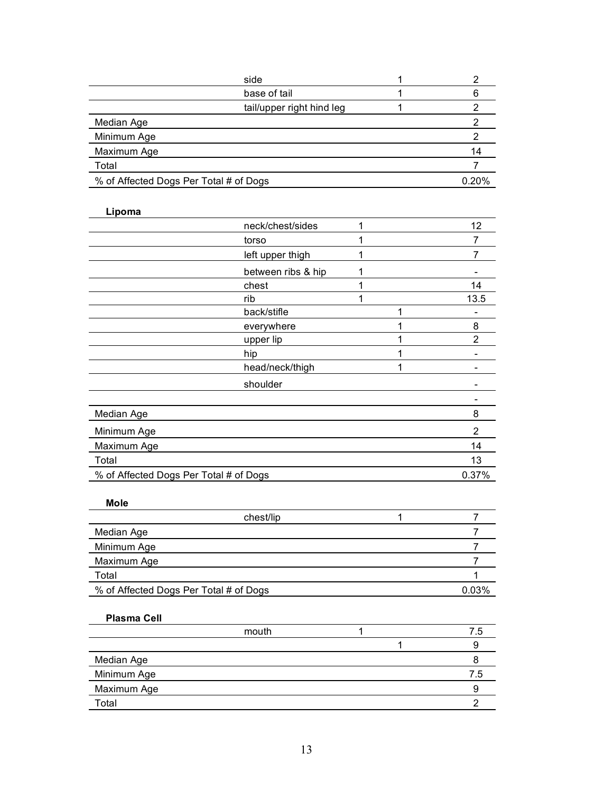|                                        | side                      |       |
|----------------------------------------|---------------------------|-------|
|                                        | base of tail              |       |
|                                        | tail/upper right hind leg |       |
| Median Age                             |                           |       |
| Minimum Age                            |                           |       |
| Maximum Age                            |                           |       |
| Total                                  |                           |       |
| % of Affected Dogs Per Total # of Dogs |                           | 0.20% |

| Lipoma                                 |                    |   |                |
|----------------------------------------|--------------------|---|----------------|
|                                        | neck/chest/sides   | 1 | 12             |
|                                        | torso              |   | 7              |
|                                        | left upper thigh   | 1 | 7              |
|                                        | between ribs & hip | 1 |                |
|                                        | chest              |   | 14             |
|                                        | rib                | 1 | 13.5           |
|                                        | back/stifle        |   |                |
|                                        | everywhere         |   | 8              |
|                                        | upper lip          |   | $\overline{2}$ |
|                                        | hip                |   |                |
|                                        | head/neck/thigh    |   |                |
|                                        | shoulder           |   |                |
|                                        |                    |   |                |
| Median Age                             |                    |   | 8              |
| Minimum Age                            |                    |   | 2              |
| Maximum Age                            |                    |   | 14             |
| Total                                  |                    |   | 13             |
| % of Affected Dogs Per Total # of Dogs |                    |   | 0.37%          |

#### **Mole**

| www                                    |       |
|----------------------------------------|-------|
| chest/lip                              |       |
| Median Age                             |       |
| Minimum Age                            |       |
| Maximum Age                            |       |
| Total                                  |       |
| % of Affected Dogs Per Total # of Dogs | 0.03% |

#### **Plasma Cell**

|             | mouth |  | 7.5 |
|-------------|-------|--|-----|
|             |       |  |     |
| Median Age  |       |  |     |
| Minimum Age |       |  | 7.5 |
| Maximum Age |       |  | 9   |
| Total       |       |  |     |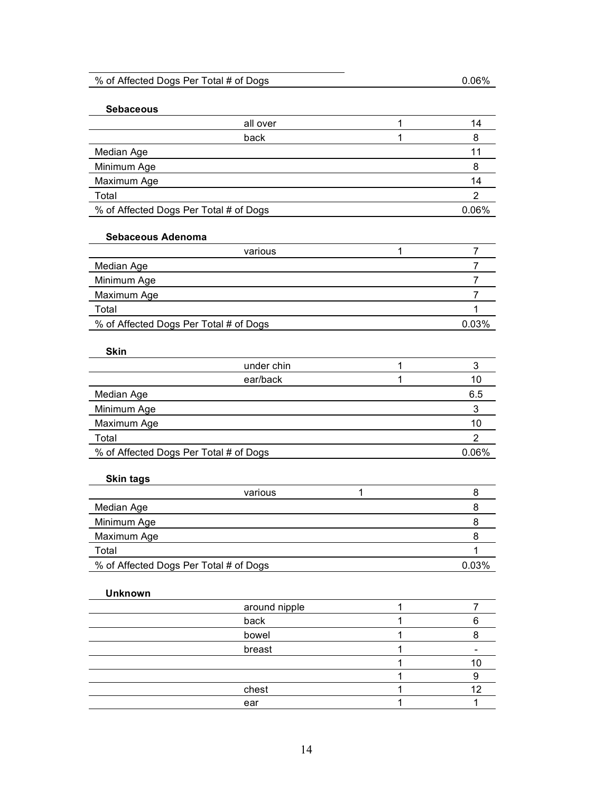### % of Affected Dogs Per Total # of Dogs 0.06%

#### **Sebaceous**

| ,,,,,,,,,,,                            |          |       |
|----------------------------------------|----------|-------|
|                                        | all over |       |
|                                        | back     |       |
| Median Age                             |          |       |
| Minimum Age                            |          |       |
| Maximum Age                            |          | 14    |
| Total                                  |          |       |
| % of Affected Dogs Per Total # of Dogs |          | 0.06% |
|                                        |          |       |

#### **Sebaceous Adenoma**

| various                                |          |
|----------------------------------------|----------|
| Median Age                             |          |
| Minimum Age                            |          |
| Maximum Age                            |          |
| Total                                  |          |
| % of Affected Dogs Per Total # of Dogs | $0.03\%$ |

#### **Skin**

|                                        | under chin |       |
|----------------------------------------|------------|-------|
|                                        | ear/back   |       |
| Median Age                             |            | 6.5   |
| Minimum Age                            |            |       |
| Maximum Age                            |            | 10    |
| Total                                  |            |       |
| % of Affected Dogs Per Total # of Dogs |            | 0.06% |
|                                        |            |       |

### **Skin tags**

|                                        | various |       |
|----------------------------------------|---------|-------|
| Median Age                             |         |       |
| Minimum Age                            |         |       |
| Maximum Age                            |         |       |
| Total                                  |         |       |
| % of Affected Dogs Per Total # of Dogs |         | 0.03% |

#### **Unknown**

| around nipple |  |
|---------------|--|
| back          |  |
| bowel         |  |
| breast        |  |
|               |  |
|               |  |
| chest         |  |
| ear           |  |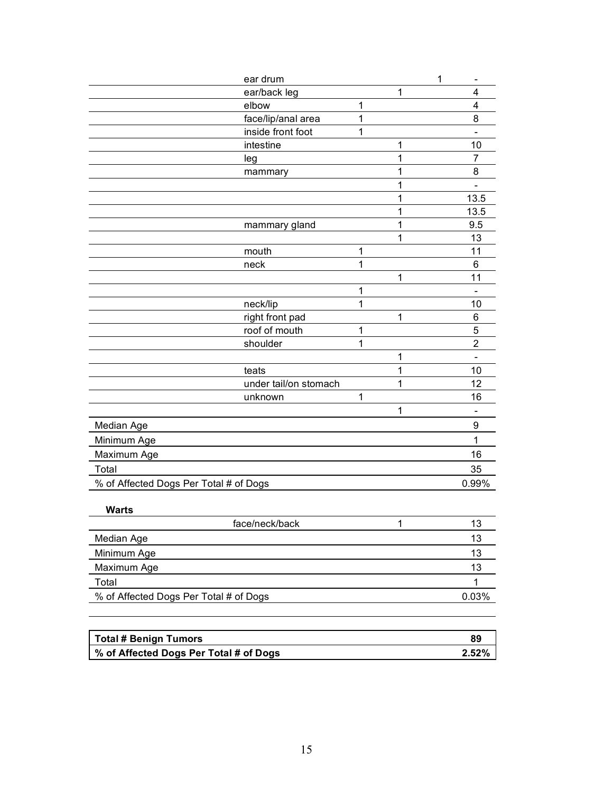|                                        | ear drum              |   |   | 1 | $\blacksquare$ |
|----------------------------------------|-----------------------|---|---|---|----------------|
|                                        | ear/back leg          |   | 1 |   | 4              |
|                                        | elbow                 | 1 |   |   | 4              |
|                                        | face/lip/anal area    | 1 |   |   | 8              |
|                                        | inside front foot     | 1 |   |   |                |
|                                        | intestine             |   | 1 |   | 10             |
|                                        | leg                   |   | 1 |   | $\overline{7}$ |
|                                        | mammary               |   | 1 |   | 8              |
|                                        |                       |   | 1 |   |                |
|                                        |                       |   | 1 |   | 13.5           |
|                                        |                       |   | 1 |   | 13.5           |
|                                        | mammary gland         |   | 1 |   | 9.5            |
|                                        |                       |   | 1 |   | 13             |
|                                        | mouth                 | 1 |   |   | 11             |
|                                        | neck                  | 1 |   |   | 6              |
|                                        |                       |   | 1 |   | 11             |
|                                        |                       | 1 |   |   |                |
|                                        | neck/lip              | 1 |   |   | 10             |
|                                        | right front pad       |   | 1 |   | 6              |
|                                        | roof of mouth         | 1 |   |   | 5              |
|                                        | shoulder              | 1 |   |   | $\overline{2}$ |
|                                        |                       |   | 1 |   |                |
|                                        | teats                 |   | 1 |   | 10             |
|                                        | under tail/on stomach |   | 1 |   | 12             |
|                                        | unknown               | 1 |   |   | 16             |
|                                        |                       |   | 1 |   |                |
| Median Age                             |                       |   |   |   | 9              |
| Minimum Age                            |                       |   |   |   | 1              |
| Maximum Age                            |                       |   |   |   | 16             |
| Total                                  |                       |   |   |   | 35             |
| % of Affected Dogs Per Total # of Dogs |                       |   |   |   | 0.99%          |
| <b>Warts</b>                           |                       |   |   |   |                |

| face/neck/back                         | د:1      |
|----------------------------------------|----------|
| Median Age                             | 13       |
| Minimum Age                            | 13       |
| Maximum Age                            | 13       |
| Total                                  |          |
| % of Affected Dogs Per Total # of Dogs | $0.03\%$ |
|                                        |          |

| Total # Benign Tumors                    |       |
|------------------------------------------|-------|
| │ % of Affected Dogs Per Total # of Dogs | 2.52% |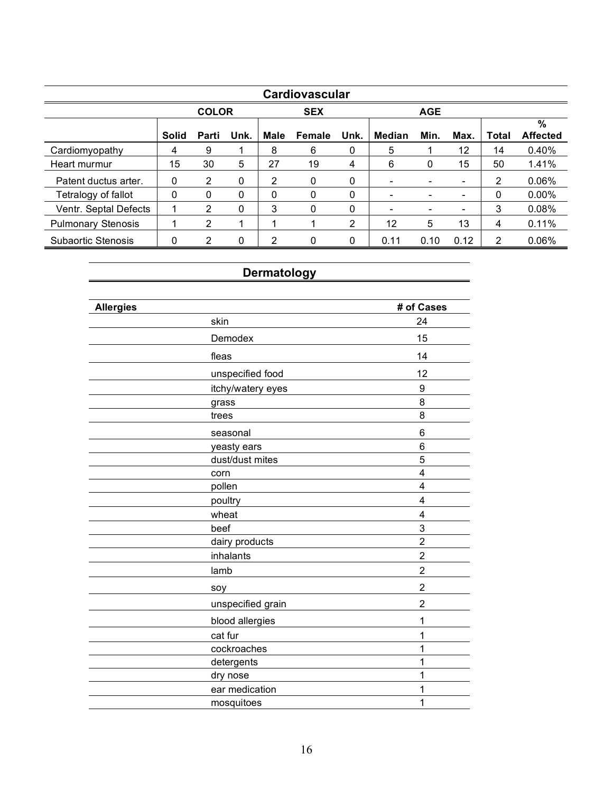| Cardiovascular            |       |                |      |             |            |          |                              |                          |                          |       |                         |
|---------------------------|-------|----------------|------|-------------|------------|----------|------------------------------|--------------------------|--------------------------|-------|-------------------------|
|                           |       | <b>COLOR</b>   |      |             | <b>SEX</b> |          |                              | <b>AGE</b>               |                          |       |                         |
|                           | Solid | Parti          | Unk. | <b>Male</b> | Female     | Unk.     | <b>Median</b>                | Min.                     | Max.                     | Total | $\%$<br><b>Affected</b> |
| Cardiomyopathy            | 4     | 9              |      | 8           | 6          | 0        | 5                            |                          | 12                       | 14    | 0.40%                   |
| Heart murmur              | 15    | 30             | 5    | 27          | 19         | 4        | 6                            | 0                        | 15                       | 50    | 1.41%                   |
| Patent ductus arter.      | 0     | $\overline{2}$ | 0    | 2           | 0          | 0        | $\qquad \qquad -$            | $\overline{\phantom{0}}$ | -                        | 2     | 0.06%                   |
| Tetralogy of fallot       | 0     | 0              | 0    | 0           | 0          | 0        | $\overline{\phantom{a}}$     |                          | -                        | 0     | $0.00\%$                |
| Ventr. Septal Defects     |       | 2              | 0    | 3           | 0          | 0        | $\qquad \qquad \blacksquare$ | -                        | $\overline{\phantom{a}}$ | 3     | 0.08%                   |
| <b>Pulmonary Stenosis</b> |       | 2              |      |             |            | 2        | 12                           | 5                        | 13                       | 4     | 0.11%                   |
| <b>Subaortic Stenosis</b> | 0     | 2              | 0    | 2           | $\Omega$   | $\Omega$ | 0.11                         | 0.10                     | 0.12                     | 2     | 0.06%                   |

# **Dermatology**

| <b>Allergies</b> |                   | # of Cases              |
|------------------|-------------------|-------------------------|
|                  | skin              | 24                      |
|                  | Demodex           | 15                      |
|                  | fleas             | 14                      |
|                  | unspecified food  | 12                      |
|                  | itchy/watery eyes | 9                       |
|                  | grass             | 8                       |
|                  | trees             | 8                       |
|                  | seasonal          | 6                       |
|                  | yeasty ears       | 6                       |
|                  | dust/dust mites   | 5                       |
|                  | corn              | $\overline{\mathbf{4}}$ |
|                  | pollen            | $\overline{\mathbf{4}}$ |
|                  | poultry           | $\overline{\mathbf{4}}$ |
|                  | wheat             | 4                       |
|                  | beef              | $\mathbf{3}$            |
|                  | dairy products    | $\overline{2}$          |
|                  | inhalants         | $\overline{2}$          |
|                  | lamb              | $\overline{2}$          |
|                  | soy               | $\overline{2}$          |
|                  | unspecified grain | $\overline{2}$          |
|                  | blood allergies   | 1                       |
|                  | cat fur           | 1                       |
|                  | cockroaches       | 1                       |
|                  | detergents        | 1                       |
|                  | dry nose          | 1                       |
|                  | ear medication    | 1                       |
|                  | mosquitoes        | 1                       |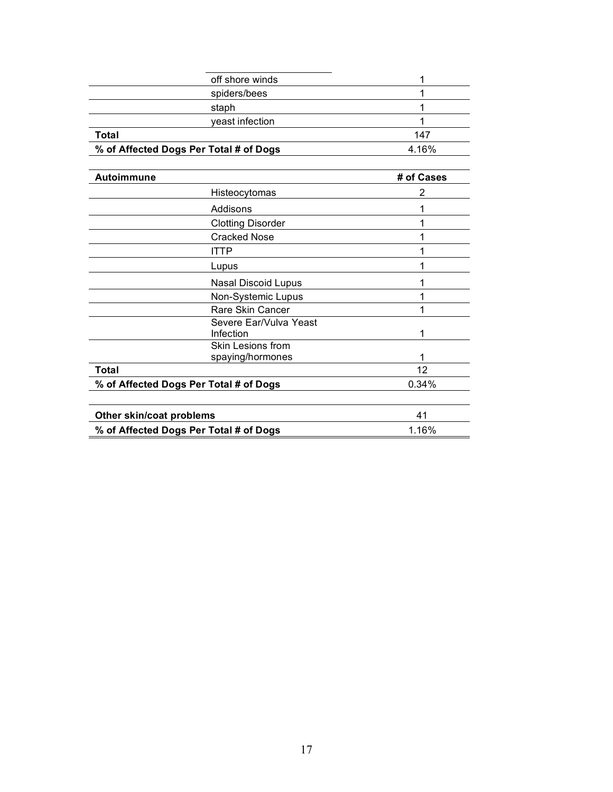|                                        | off shore winds |       |
|----------------------------------------|-----------------|-------|
|                                        | spiders/bees    |       |
|                                        | staph           |       |
|                                        | yeast infection |       |
| <b>Total</b>                           |                 | 147   |
| % of Affected Dogs Per Total # of Dogs |                 | 4.16% |

| Autoimmune                             |                                     | # of Cases |
|----------------------------------------|-------------------------------------|------------|
|                                        | Histeocytomas                       | 2          |
|                                        | Addisons                            |            |
|                                        | <b>Clotting Disorder</b>            |            |
|                                        | <b>Cracked Nose</b>                 |            |
|                                        | ITTP                                |            |
|                                        | Lupus                               |            |
|                                        | Nasal Discoid Lupus                 |            |
|                                        | Non-Systemic Lupus                  |            |
|                                        | Rare Skin Cancer                    |            |
|                                        | Severe Ear/Vulva Yeast<br>Infection | 1          |
|                                        | Skin Lesions from                   |            |
|                                        | spaying/hormones                    | 1          |
| Total                                  |                                     | 12         |
| % of Affected Dogs Per Total # of Dogs |                                     | 0.34%      |
| Other skin/coat problems               |                                     | 41         |
| % of Affected Dogs Per Total # of Dogs |                                     | 1.16%      |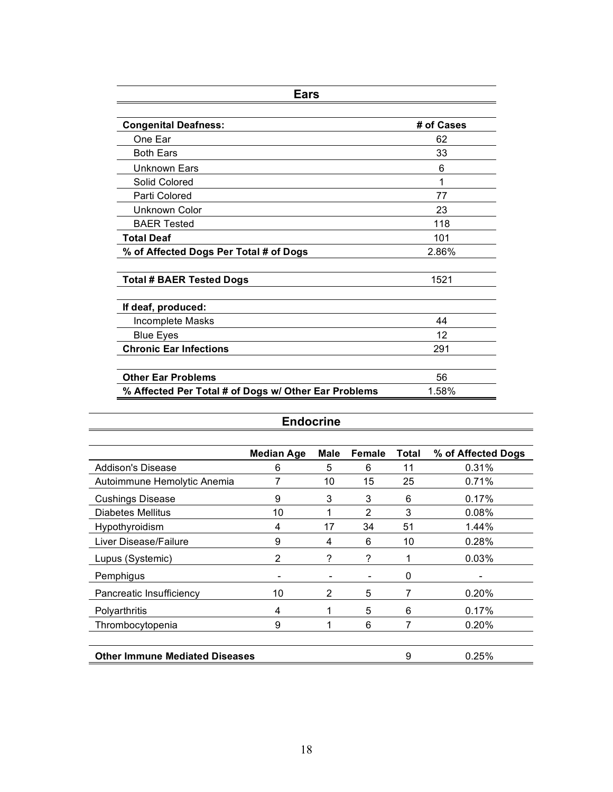| <b>Ears</b>                                          |            |  |
|------------------------------------------------------|------------|--|
|                                                      |            |  |
| <b>Congenital Deafness:</b>                          | # of Cases |  |
| One Ear                                              | 62         |  |
| <b>Both Ears</b>                                     | 33         |  |
| Unknown Ears                                         | 6          |  |
| Solid Colored                                        | 1          |  |
| Parti Colored                                        | 77         |  |
| Unknown Color                                        | 23         |  |
| <b>BAER Tested</b>                                   | 118        |  |
| <b>Total Deaf</b>                                    | 101        |  |
| % of Affected Dogs Per Total # of Dogs               | 2.86%      |  |
| <b>Total # BAER Tested Dogs</b>                      | 1521       |  |
| If deaf, produced:                                   |            |  |
| Incomplete Masks                                     | 44         |  |
| <b>Blue Eyes</b>                                     | 12         |  |
| <b>Chronic Ear Infections</b>                        | 291        |  |
| <b>Other Ear Problems</b>                            | 56         |  |
| % Affected Per Total # of Dogs w/ Other Ear Problems | 1.58%      |  |

| <b>Endocrine</b> |  |
|------------------|--|
|                  |  |

|                                       | <b>Median Age</b> | <b>Male</b> | <b>Female</b>  | Total | % of Affected Dogs |
|---------------------------------------|-------------------|-------------|----------------|-------|--------------------|
| Addison's Disease                     | 6                 | 5           | 6              | 11    | 0.31%              |
| Autoimmune Hemolytic Anemia           |                   | 10          | 15             | 25    | 0.71%              |
| <b>Cushings Disease</b>               | 9                 | 3           | 3              | 6     | 0.17%              |
| <b>Diabetes Mellitus</b>              | 10                | 1           | $\mathfrak{p}$ | 3     | 0.08%              |
| Hypothyroidism                        | 4                 | 17          | 34             | 51    | 1.44%              |
| Liver Disease/Failure                 | 9                 | 4           | 6              | 10    | 0.28%              |
| Lupus (Systemic)                      | 2                 | ?           | ?              | 1     | 0.03%              |
| Pemphigus                             |                   |             |                | 0     |                    |
| Pancreatic Insufficiency              | 10                | 2           | 5              | 7     | 0.20%              |
| Polyarthritis                         | 4                 |             | 5              | 6     | 0.17%              |
| Thrombocytopenia                      | 9                 |             | 6              | 7     | 0.20%              |
|                                       |                   |             |                |       |                    |
| <b>Other Immune Mediated Diseases</b> |                   |             |                | 9     | 0.25%              |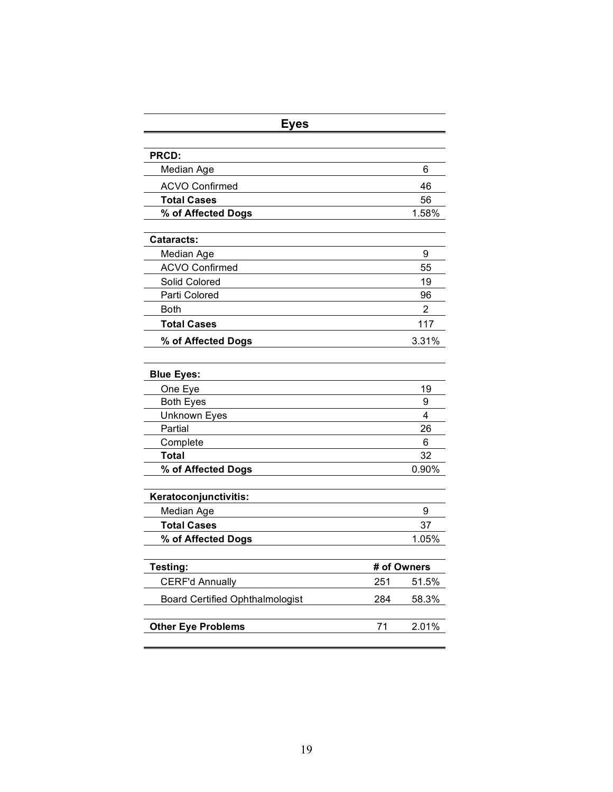| <b>Eyes</b>                            |             |                |
|----------------------------------------|-------------|----------------|
|                                        |             |                |
| PRCD:                                  |             |                |
| Median Age                             |             | 6              |
| <b>ACVO Confirmed</b>                  |             | 46             |
| <b>Total Cases</b>                     |             | 56             |
| % of Affected Dogs                     |             | 1.58%          |
|                                        |             |                |
| <b>Cataracts:</b>                      |             |                |
| Median Age                             |             | 9              |
| <b>ACVO Confirmed</b>                  |             | 55             |
| Solid Colored                          |             | 19             |
| Parti Colored                          |             | 96             |
| <b>Both</b>                            |             | $\overline{2}$ |
| <b>Total Cases</b>                     |             | 117            |
| % of Affected Dogs                     |             | 3.31%          |
|                                        |             |                |
| <b>Blue Eyes:</b>                      |             |                |
| One Eye                                |             | 19             |
| <b>Both Eyes</b>                       |             | 9              |
| <b>Unknown Eyes</b>                    |             | 4              |
| Partial                                |             | 26             |
| Complete                               |             | 6              |
| <b>Total</b>                           |             | 32             |
| % of Affected Dogs                     |             | 0.90%          |
|                                        |             |                |
| Keratoconjunctivitis:                  |             |                |
| Median Age                             |             | 9              |
| <b>Total Cases</b>                     |             | 37             |
| % of Affected Dogs                     |             | 1.05%          |
|                                        |             |                |
| Testing:                               | # of Owners |                |
| <b>CERF'd Annually</b>                 | 251         | 51.5%          |
| <b>Board Certified Ophthalmologist</b> | 284         | 58.3%          |
|                                        |             |                |
| <b>Other Eye Problems</b>              | 71          | 2.01%          |
|                                        |             |                |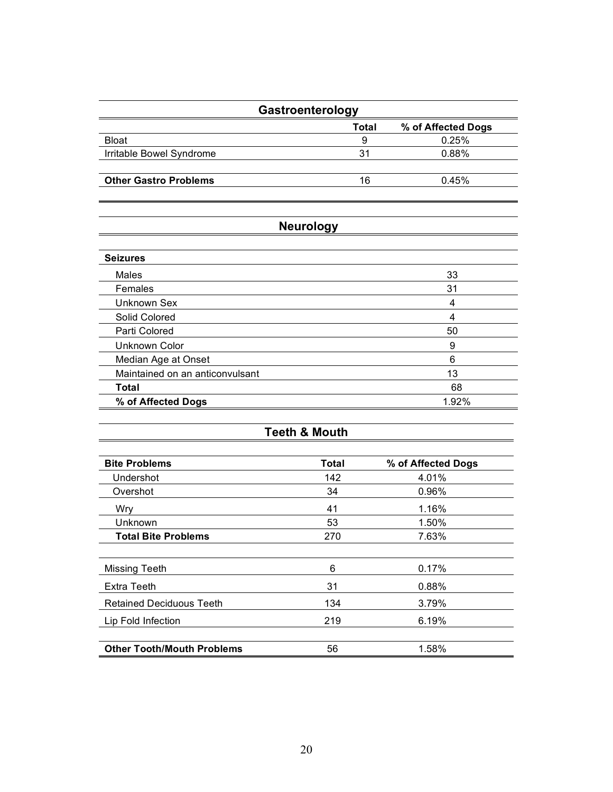| Gastroenterology             |              |                    |  |  |
|------------------------------|--------------|--------------------|--|--|
|                              | <b>Total</b> | % of Affected Dogs |  |  |
| <b>Bloat</b>                 | 9            | 0.25%              |  |  |
| Irritable Bowel Syndrome     | 31           | 0.88%              |  |  |
| <b>Other Gastro Problems</b> | 16           | 0.45%              |  |  |
|                              |              |                    |  |  |
| <b>Neurology</b>             |              |                    |  |  |

| <b>Seizures</b>                 |       |
|---------------------------------|-------|
| Males                           | 33    |
| Females                         | 31    |
| <b>Unknown Sex</b>              | 4     |
| Solid Colored                   | 4     |
| Parti Colored                   | 50    |
| Unknown Color                   | 9     |
| Median Age at Onset             | 6     |
| Maintained on an anticonvulsant | 13    |
| <b>Total</b>                    | 68    |
| % of Affected Dogs              | 1.92% |

| <b>Teeth &amp; Mouth</b> |  |  |  |
|--------------------------|--|--|--|
|--------------------------|--|--|--|

| <b>Bite Problems</b>              | Total | % of Affected Dogs |
|-----------------------------------|-------|--------------------|
| Undershot                         | 142   | 4.01%              |
| Overshot                          | 34    | 0.96%              |
| Wrv                               | 41    | 1.16%              |
| <b>Unknown</b>                    | 53    | 1.50%              |
| <b>Total Bite Problems</b>        | 270   | 7.63%              |
|                                   |       |                    |
| <b>Missing Teeth</b>              | 6     | 0.17%              |
| Extra Teeth                       | 31    | 0.88%              |
| <b>Retained Deciduous Teeth</b>   | 134   | 3.79%              |
| Lip Fold Infection                | 219   | 6.19%              |
|                                   |       |                    |
| <b>Other Tooth/Mouth Problems</b> | 56    | 1.58%              |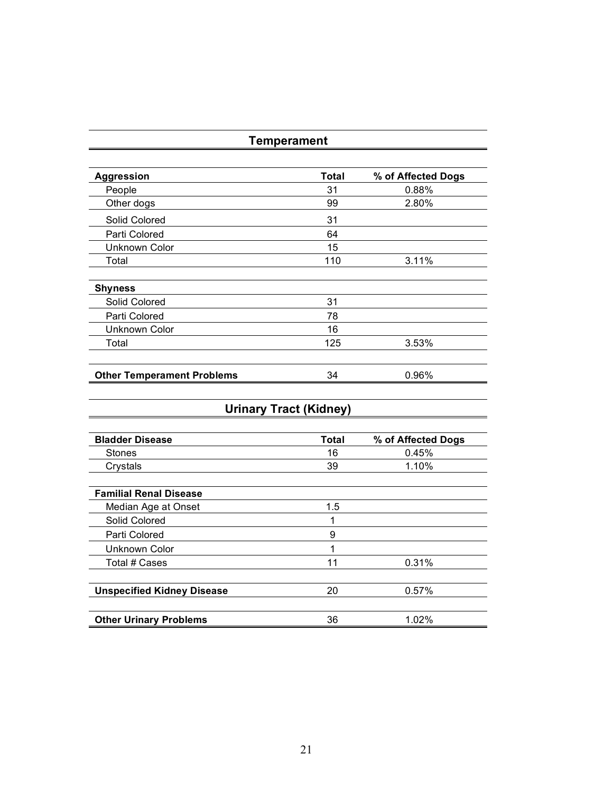# **Temperament**

| <b>Aggression</b>                 | Total | % of Affected Dogs |
|-----------------------------------|-------|--------------------|
| People                            | 31    | 0.88%              |
| Other dogs                        | 99    | 2.80%              |
| Solid Colored                     | 31    |                    |
| Parti Colored                     | 64    |                    |
| Unknown Color                     | 15    |                    |
| Total                             | 110   | 3.11%              |
| <b>Shyness</b>                    |       |                    |
| Solid Colored                     | 31    |                    |
| Parti Colored                     | 78    |                    |
| Unknown Color                     | 16    |                    |
| Total                             | 125   | 3.53%              |
| <b>Other Temperament Problems</b> | 34    | 0.96%              |

# **Urinary Tract (Kidney)**

| <b>Bladder Disease</b>            | <b>Total</b> | % of Affected Dogs |
|-----------------------------------|--------------|--------------------|
| <b>Stones</b>                     | 16           | 0.45%              |
| Crystals                          | 39           | 1.10%              |
|                                   |              |                    |
| <b>Familial Renal Disease</b>     |              |                    |
| Median Age at Onset               | 1.5          |                    |
| Solid Colored                     |              |                    |
| Parti Colored                     | 9            |                    |
| Unknown Color                     |              |                    |
| Total # Cases                     | 11           | 0.31%              |
|                                   |              |                    |
| <b>Unspecified Kidney Disease</b> | 20           | 0.57%              |
|                                   |              |                    |
| <b>Other Urinary Problems</b>     | 36           | $1.02\%$           |